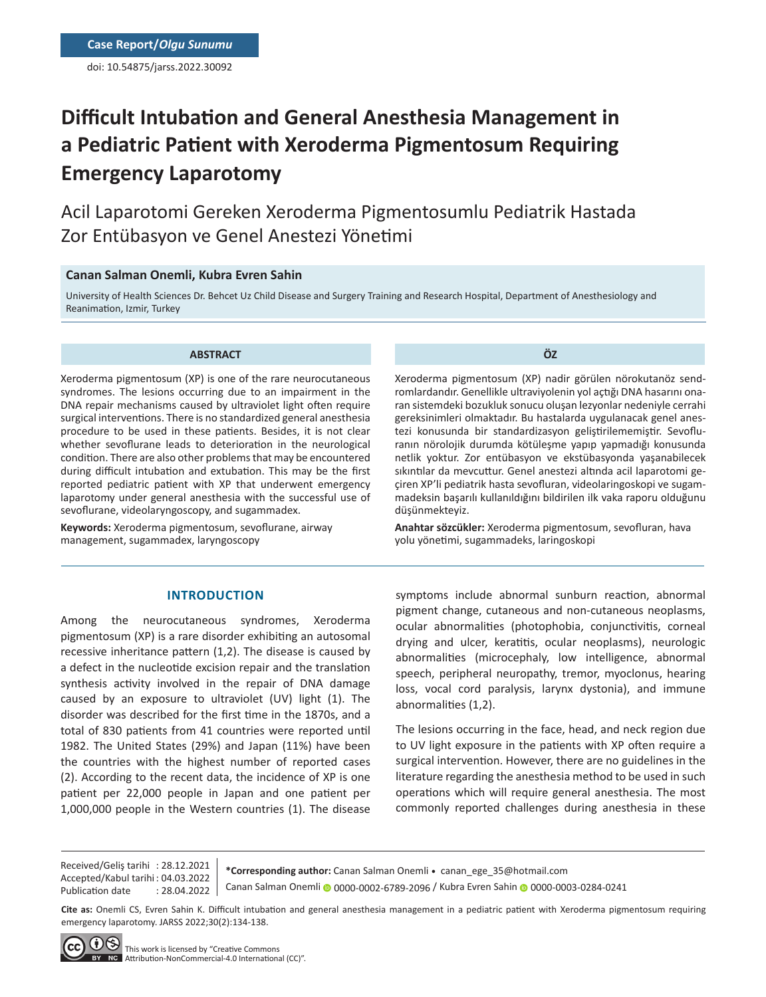doi: 10.54875/jarss.2022.30092

# **Difficult Intubation and General Anesthesia Management in a Pediatric Patient with Xeroderma Pigmentosum Requiring Emergency Laparotomy**

Acil Laparotomi Gereken Xeroderma Pigmentosumlu Pediatrik Hastada Zor Entübasyon ve Genel Anestezi Yönetimi

### **Canan Salman Onemli, Kubra Evren Sahin**

University of Health Sciences Dr. Behcet Uz Child Disease and Surgery Training and Research Hospital, Department of Anesthesiology and Reanimation, Izmir, Turkey

#### **ABSTRACT**

Xeroderma pigmentosum (XP) is one of the rare neurocutaneous syndromes. The lesions occurring due to an impairment in the DNA repair mechanisms caused by ultraviolet light often require surgical interventions. There is no standardized general anesthesia procedure to be used in these patients. Besides, it is not clear whether sevoflurane leads to deterioration in the neurological condition. There are also other problems that may be encountered during difficult intubation and extubation. This may be the first reported pediatric patient with XP that underwent emergency laparotomy under general anesthesia with the successful use of sevoflurane, videolaryngoscopy, and sugammadex.

**Keywords:** Xeroderma pigmentosum, sevoflurane, airway management, sugammadex, laryngoscopy

**ÖZ**

Xeroderma pigmentosum (XP) nadir görülen nörokutanöz sendromlardandır. Genellikle ultraviyolenin yol açtığı DNA hasarını onaran sistemdeki bozukluk sonucu oluşan lezyonlar nedeniyle cerrahi gereksinimleri olmaktadır. Bu hastalarda uygulanacak genel anestezi konusunda bir standardizasyon geliştirilememiştir. Sevofluranın nörolojik durumda kötüleşme yapıp yapmadığı konusunda netlik yoktur. Zor entübasyon ve ekstübasyonda yaşanabilecek sıkıntılar da mevcuttur. Genel anestezi altında acil laparotomi geçiren XP'li pediatrik hasta sevofluran, videolaringoskopi ve sugammadeksin başarılı kullanıldığını bildirilen ilk vaka raporu olduğunu düşünmekteyiz.

**Anahtar sözcükler:** Xeroderma pigmentosum, sevofluran, hava yolu yönetimi, sugammadeks, laringoskopi

#### **INTRODUCTION**

Among the neurocutaneous syndromes, Xeroderma pigmentosum (XP) is a rare disorder exhibiting an autosomal recessive inheritance pattern (1,2). The disease is caused by a defect in the nucleotide excision repair and the translation synthesis activity involved in the repair of DNA damage caused by an exposure to ultraviolet (UV) light (1). The disorder was described for the first time in the 1870s, and a total of 830 patients from 41 countries were reported until 1982. The United States (29%) and Japan (11%) have been the countries with the highest number of reported cases (2). According to the recent data, the incidence of XP is one patient per 22,000 people in Japan and one patient per 1,000,000 people in the Western countries (1). The disease

symptoms include abnormal sunburn reaction, abnormal pigment change, cutaneous and non-cutaneous neoplasms, ocular abnormalities (photophobia, conjunctivitis, corneal drying and ulcer, keratitis, ocular neoplasms), neurologic abnormalities (microcephaly, low intelligence, abnormal speech, peripheral neuropathy, tremor, myoclonus, hearing loss, vocal cord paralysis, larynx dystonia), and immune abnormalities (1,2).

The lesions occurring in the face, head, and neck region due to UV light exposure in the patients with XP often require a surgical intervention. However, there are no guidelines in the literature regarding the anesthesia method to be used in such operations which will require general anesthesia. The most commonly reported challenges during anesthesia in these

Received/Geliş tarihi : 28.12.2021 Accepted/Kabul tarihi : 04.03.2022 Publication date : 28.04.2022

**\*Corresponding author:** Canan Salman Onemli • canan\_ege\_35@hotmail.com Canan Salman Onemli0000-0002-6789-2096 / Kubra Evren Sahin 0000-0003-0284-0241

**Cite as:** Onemli CS, Evren Sahin K. Difficult intubation and general anesthesia management in a pediatric patient with Xeroderma pigmentosum requiring emergency laparotomy. JARSS 2022;30(2):134-138.

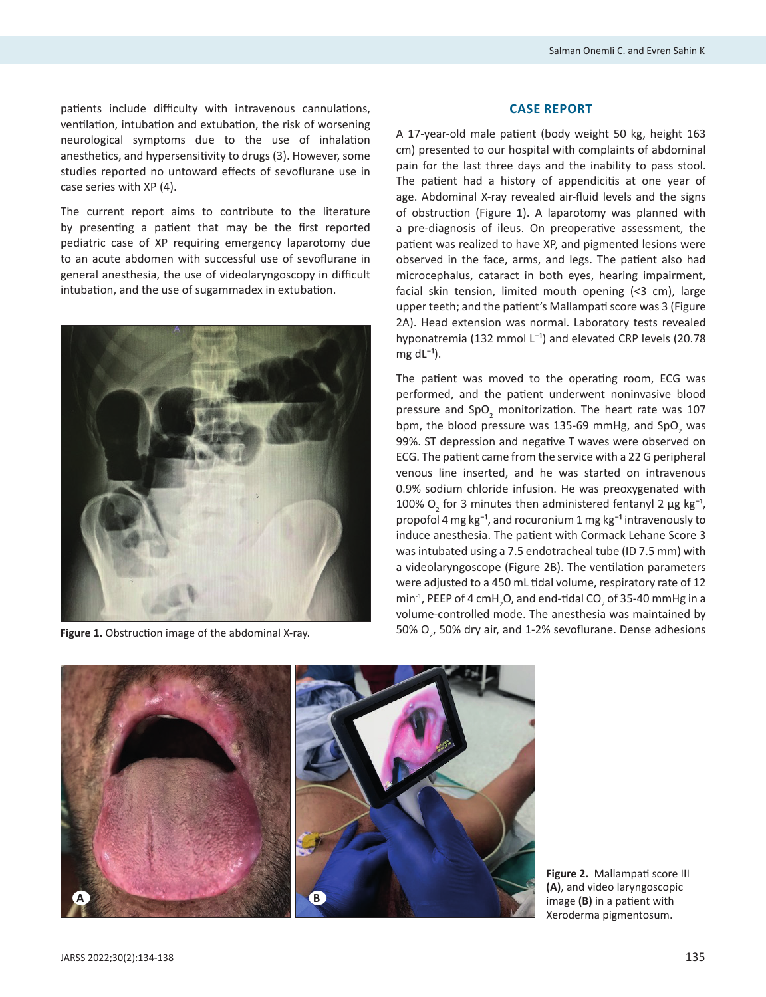patients include difficulty with intravenous cannulations, ventilation, intubation and extubation, the risk of worsening neurological symptoms due to the use of inhalation anesthetics, and hypersensitivity to drugs (3). However, some studies reported no untoward effects of sevoflurane use in case series with XP (4).

The current report aims to contribute to the literature by presenting a patient that may be the first reported pediatric case of XP requiring emergency laparotomy due to an acute abdomen with successful use of sevoflurane in general anesthesia, the use of videolaryngoscopy in difficult intubation, and the use of sugammadex in extubation.



#### **CASE REPORT**

A 17-year-old male patient (body weight 50 kg, height 163 cm) presented to our hospital with complaints of abdominal pain for the last three days and the inability to pass stool. The patient had a history of appendicitis at one year of age. Abdominal X-ray revealed air-fluid levels and the signs of obstruction (Figure 1). A laparotomy was planned with a pre-diagnosis of ileus. On preoperative assessment, the patient was realized to have XP, and pigmented lesions were observed in the face, arms, and legs. The patient also had microcephalus, cataract in both eyes, hearing impairment, facial skin tension, limited mouth opening (<3 cm), large upper teeth; and the patient's Mallampati score was 3 (Figure 2A). Head extension was normal. Laboratory tests revealed hyponatremia (132 mmol  $L^{-1}$ ) and elevated CRP levels (20.78 mg  $dL^{-1}$ ).

The patient was moved to the operating room, ECG was performed, and the patient underwent noninvasive blood pressure and SpO<sub>2</sub> monitorization. The heart rate was 107 bpm, the blood pressure was 135-69 mmHg, and SpO<sub>2</sub> was 99%. ST depression and negative T waves were observed on ECG. The patient came from the service with a 22 G peripheral venous line inserted, and he was started on intravenous 0.9% sodium chloride infusion. He was preoxygenated with 100%  $O_2$  for 3 minutes then administered fentanyl 2  $\mu$ g kg<sup>-1</sup>, propofol 4 mg kg $^{-1}$ , and rocuronium 1 mg kg $^{-1}$  intravenously to induce anesthesia. The patient with Cormack Lehane Score 3 was intubated using a 7.5 endotracheal tube (ID 7.5 mm) with a videolaryngoscope (Figure 2B). The ventilation parameters were adjusted to a 450 mL tidal volume, respiratory rate of 12  $\min$ <sup>-1</sup>, PEEP of 4 cmH<sub>2</sub>O, and end-tidal CO<sub>2</sub> of 35-40 mmHg in a volume-controlled mode. The anesthesia was maintained by Figure 1. Obstruction image of the abdominal X-ray. **Figure 1.** SO% O<sub>2</sub>, 50% dry air, and 1-2% sevoflurane. Dense adhesions



**Figure 2.** Mallampati score III **(A)**, and video laryngoscopic image **(B)** in a patient with Xeroderma pigmentosum.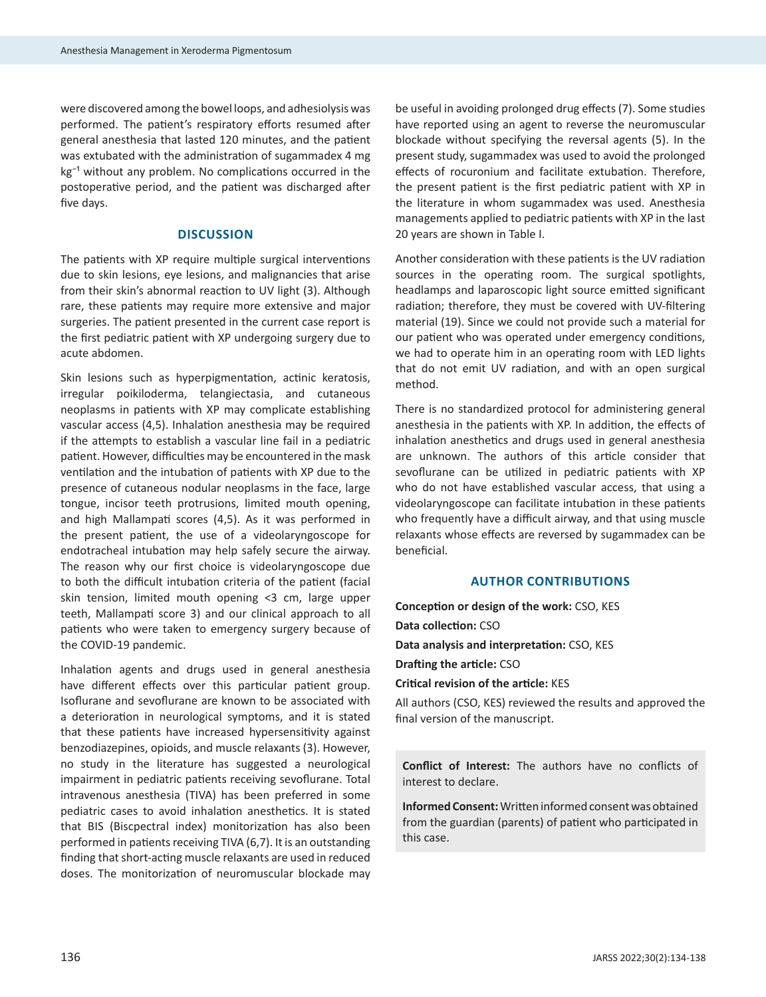were discovered among the bowel loops, and adhesiolysis was performed. The patient's respiratory efforts resumed after general anesthesia that lasted 120 minutes, and the patient was extubated with the administration of sugammadex 4 mg  $kg^{-1}$  without any problem. No complications occurred in the postoperative period, and the patient was discharged after five days.

## **DISCUSSION**

The patients with XP require multiple surgical interventions due to skin lesions, eye lesions, and malignancies that arise from their skin's abnormal reaction to UV light (3). Although rare, these patients may require more extensive and major surgeries. The patient presented in the current case report is the first pediatric patient with XP undergoing surgery due to acute abdomen.

Skin lesions such as hyperpigmentation, actinic keratosis, irregular poikiloderma, telangiectasia, and cutaneous neoplasms in patients with XP may complicate establishing vascular access (4,5). Inhalation anesthesia may be required if the attempts to establish a vascular line fail in a pediatric patient. However, difficulties may be encountered in the mask ventilation and the intubation of patients with XP due to the presence of cutaneous nodular neoplasms in the face, large tongue, incisor teeth protrusions, limited mouth opening, and high Mallampati scores (4,5). As it was performed in the present patient, the use of a videolaryngoscope for endotracheal intubation may help safely secure the airway. The reason why our first choice is videolaryngoscope due to both the difficult intubation criteria of the patient (facial skin tension, limited mouth opening <3 cm, large upper teeth, Mallampati score 3) and our clinical approach to all patients who were taken to emergency surgery because of the COVID-19 pandemic.

Inhalation agents and drugs used in general anesthesia have different effects over this particular patient group. Isoflurane and sevoflurane are known to be associated with a deterioration in neurological symptoms, and it is stated that these patients have increased hypersensitivity against benzodiazepines, opioids, and muscle relaxants (3). However, no study in the literature has suggested a neurological impairment in pediatric patients receiving sevoflurane. Total intravenous anesthesia (TIVA) has been preferred in some pediatric cases to avoid inhalation anesthetics. It is stated that BIS (Biscpectral index) monitorization has also been performed in patients receiving TIVA (6,7). It is an outstanding finding that short-acting muscle relaxants are used in reduced doses. The monitorization of neuromuscular blockade may

be useful in avoiding prolonged drug effects (7). Some studies have reported using an agent to reverse the neuromuscular blockade without specifying the reversal agents (5). In the present study, sugammadex was used to avoid the prolonged effects of rocuronium and facilitate extubation. Therefore, the present patient is the first pediatric patient with XP in the literature in whom sugammadex was used. Anesthesia managements applied to pediatric patients with XP in the last 20 years are shown in Table I.

Another consideration with these patients is the UV radiation sources in the operating room. The surgical spotlights, headlamps and laparoscopic light source emitted significant radiation; therefore, they must be covered with UV-filtering material (19). Since we could not provide such a material for our patient who was operated under emergency conditions, we had to operate him in an operating room with LED lights that do not emit UV radiation, and with an open surgical method.

There is no standardized protocol for administering general anesthesia in the patients with XP. In addition, the effects of inhalation anesthetics and drugs used in general anesthesia are unknown. The authors of this article consider that sevoflurane can be utilized in pediatric patients with XP who do not have established vascular access, that using a videolaryngoscope can facilitate intubation in these patients who frequently have a difficult airway, and that using muscle relaxants whose effects are reversed by sugammadex can be beneficial.

## **AUTHOR CONTRIBUTIONS**

**Conception or design of the work:** CSO, KES **Data collection:** CSO **Data analysis and interpretation:** CSO, KES **Drafting the article:** CSO **Critical revision of the article:** KES

All authors (CSO, KES) reviewed the results and approved the final version of the manuscript.

**Conflict of Interest:** The authors have no conflicts of interest to declare.

**Informed Consent:**Written informed consent was obtained from the guardian (parents) of patient who participated in this case.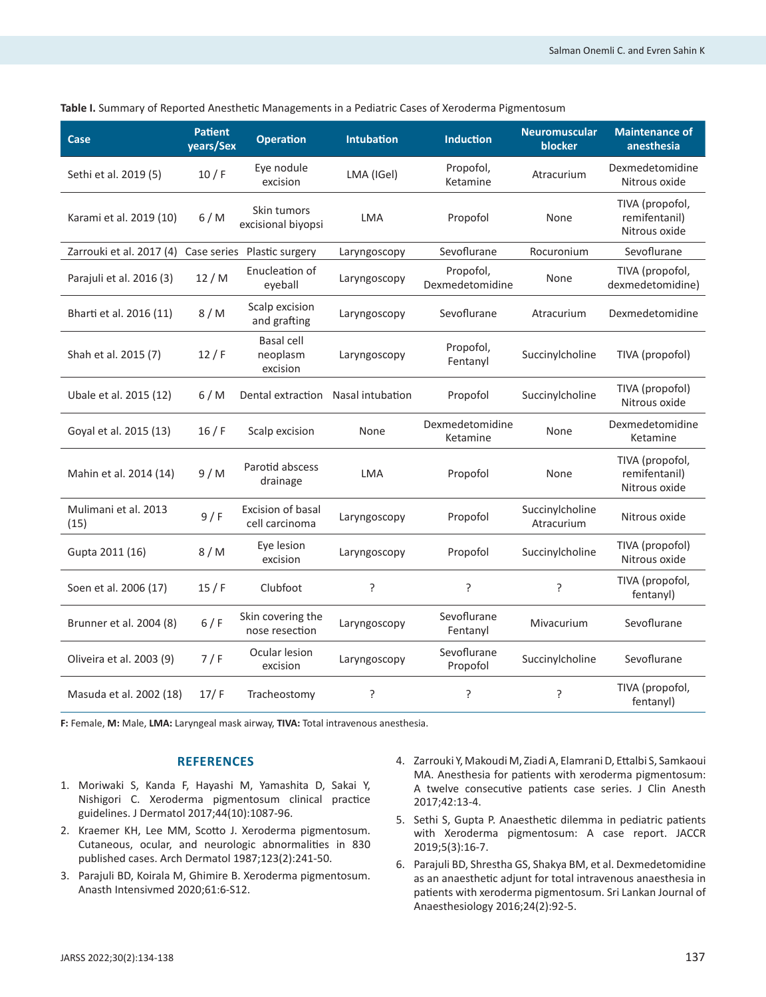| Case                                 | <b>Patient</b><br>years/Sex | <b>Operation</b>                           | Intubation   | Induction                    | <b>Neuromuscular</b><br>blocker | <b>Maintenance of</b><br>anesthesia               |
|--------------------------------------|-----------------------------|--------------------------------------------|--------------|------------------------------|---------------------------------|---------------------------------------------------|
| Sethi et al. 2019 (5)                | 10/ F                       | Eye nodule<br>excision                     | LMA (IGel)   | Propofol,<br>Ketamine        | Atracurium                      | Dexmedetomidine<br>Nitrous oxide                  |
| Karami et al. 2019 (10)              | 6/M                         | Skin tumors<br>excisional biyopsi          | <b>LMA</b>   | Propofol                     | None                            | TIVA (propofol,<br>remifentanil)<br>Nitrous oxide |
| Zarrouki et al. 2017 (4) Case series |                             | Plastic surgery                            | Laryngoscopy | Sevoflurane                  | Rocuronium                      | Sevoflurane                                       |
| Parajuli et al. 2016 (3)             | 12/M                        | Enucleation of<br>eyeball                  | Laryngoscopy | Propofol,<br>Dexmedetomidine | None                            | TIVA (propofol,<br>dexmedetomidine)               |
| Bharti et al. 2016 (11)              | 8/M                         | Scalp excision<br>and grafting             | Laryngoscopy | Sevoflurane                  | Atracurium                      | Dexmedetomidine                                   |
| Shah et al. 2015 (7)                 | 12/ F                       | Basal cell<br>neoplasm<br>excision         | Laryngoscopy | Propofol,<br>Fentanyl        | Succinylcholine                 | TIVA (propofol)                                   |
| Ubale et al. 2015 (12)               | 6/M                         | Dental extraction Nasal intubation         |              | Propofol                     | Succinylcholine                 | TIVA (propofol)<br>Nitrous oxide                  |
| Goyal et al. 2015 (13)               | 16/F                        | Scalp excision                             | None         | Dexmedetomidine<br>Ketamine  | None                            | Dexmedetomidine<br>Ketamine                       |
| Mahin et al. 2014 (14)               | 9/M                         | Parotid abscess<br>drainage                | <b>LMA</b>   | Propofol                     | None                            | TIVA (propofol,<br>remifentanil)<br>Nitrous oxide |
| Mulimani et al. 2013<br>(15)         | 9/ F                        | <b>Excision of basal</b><br>cell carcinoma | Laryngoscopy | Propofol                     | Succinylcholine<br>Atracurium   | Nitrous oxide                                     |
| Gupta 2011 (16)                      | 8/M                         | Eye lesion<br>excision                     | Laryngoscopy | Propofol                     | Succinylcholine                 | TIVA (propofol)<br>Nitrous oxide                  |
| Soen et al. 2006 (17)                | 15/ F                       | Clubfoot                                   | S.           | ?                            | ŗ                               | TIVA (propofol,<br>fentanyl)                      |
| Brunner et al. 2004 (8)              | 6/F                         | Skin covering the<br>nose resection        | Laryngoscopy | Sevoflurane<br>Fentanyl      | Mivacurium                      | Sevoflurane                                       |
| Oliveira et al. 2003 (9)             | 7/F                         | Ocular lesion<br>excision                  | Laryngoscopy | Sevoflurane<br>Propofol      | Succinylcholine                 | Sevoflurane                                       |
| Masuda et al. 2002 (18)              | 17/F                        | Tracheostomy                               | ?            | ?                            | ?                               | TIVA (propofol,<br>fentanyl)                      |

**Table I.** Summary of Reported Anesthetic Managements in a Pediatric Cases of Xeroderma Pigmentosum

**F:** Female, **M:** Male, **LMA:** Laryngeal mask airway, **TIVA:** Total intravenous anesthesia.

## **REFERENCES**

- 1. Moriwaki S, Kanda F, Hayashi M, Yamashita D, Sakai Y, Nishigori C. Xeroderma pigmentosum clinical practice guidelines. J Dermatol 2017;44(10):1087-96.
- 2. Kraemer KH, Lee MM, Scotto J. Xeroderma pigmentosum. Cutaneous, ocular, and neurologic abnormalities in 830 published cases. Arch Dermatol 1987;123(2):241-50.
- 3. Parajuli BD, Koirala M, Ghimire B. Xeroderma pigmentosum. Anasth Intensivmed 2020;61:6-S12.
- 4. Zarrouki Y, Makoudi M, Ziadi A, Elamrani D, Ettalbi S, Samkaoui MA. Anesthesia for patients with xeroderma pigmentosum: A twelve consecutive patients case series. J Clin Anesth 2017;42:13-4.
- 5. Sethi S, Gupta P. Anaesthetic dilemma in pediatric patients with Xeroderma pigmentosum: A case report. JACCR 2019;5(3):16-7.
- 6. Parajuli BD, Shrestha GS, Shakya BM, et al. Dexmedetomidine as an anaesthetic adjunt for total intravenous anaesthesia in patients with xeroderma pigmentosum. Sri Lankan Journal of Anaesthesiology 2016;24(2):92-5.